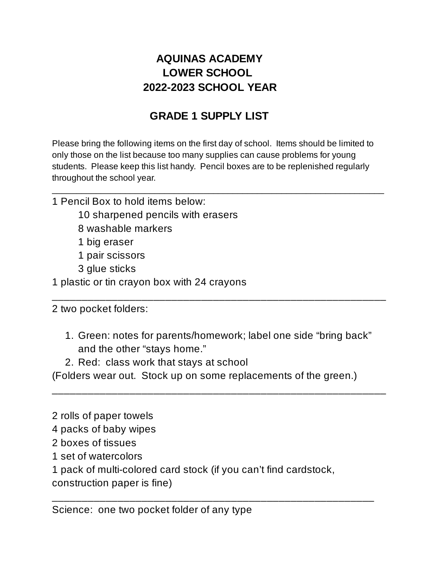## **AQUINAS ACADEMY LOWER SCHOOL 2022-2023 SCHOOL YEAR**

## **GRADE 1 SUPPLY LIST**

 Please bring the following items on the first day of school. Items should be limited to only those on the list because too many supplies can cause problems for young students. Please keep this list handy. Pencil boxes are to be replenished regularly throughout the school year.

 $\_$  , and the contribution of the contribution of  $\mathcal{L}_\mathcal{A}$  , and the contribution of  $\mathcal{L}_\mathcal{A}$ 

- 1 Pencil Box to hold items below:
	- 10 sharpened pencils with erasers
	- 8 washable markers
	- 1 big eraser
	- 1 pair scissors
	- 3 glue sticks
- 1 plastic or tin crayon box with 24 crayons

2 two pocket folders:

 1. Green: notes for parents/homework; label one side "bring back" and the other "stays home."

\_\_\_\_\_\_\_\_\_\_\_\_\_\_\_\_\_\_\_\_\_\_\_\_\_\_\_\_\_\_\_\_\_\_\_\_\_\_\_\_\_\_\_\_\_\_\_\_\_\_\_\_\_\_\_\_

\_\_\_\_\_\_\_\_\_\_\_\_\_\_\_\_\_\_\_\_\_\_\_\_\_\_\_\_\_\_\_\_\_\_\_\_\_\_\_\_\_\_\_\_\_\_\_\_\_\_\_\_\_\_\_\_

2. Red: class work that stays at school

(Folders wear out. Stock up on some replacements of the green.)

- 2 rolls of paper towels
- 4 packs of baby wipes
- 2 boxes of tissues
- 1 set of watercolors
- 1 pack of multi-colored card stock (if you can't find cardstock,

\_\_\_\_\_\_\_\_\_\_\_\_\_\_\_\_\_\_\_\_\_\_\_\_\_\_\_\_\_\_\_\_\_\_\_\_\_\_\_\_\_\_\_\_\_\_\_\_\_\_\_\_\_\_

construction paper is fine)